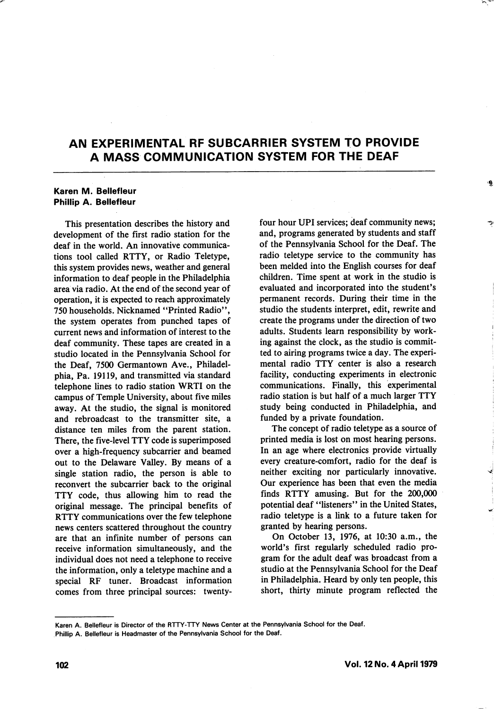# AN EXPERIMENTAL RF SUBCARRIER SYSTEM TO PROVIDE A MASS COMMUNICATION SYSTEM FOR THE DEAF

#### Karen M. Beliefleur Phillip A. Bellefleur

This presentation describes the history and development of the first radio station for the deaf in the world. An innovative communica tions tool called RTTY, or Radio Teletype, this system provides news, weather and general information to deaf people in the Philadelphia area via radio. At the end of the second year of operation, it is expected to reach approximately 750 households. Nicknamed "Printed Radio", the system operates from punched tapes of current news and information of interest to the deaf community. These tapes are created in a studio located in the Pennsylvania School for the Deaf, 7500 Germantown Ave., Philadel phia, Pa. 19119, and transmitted via standard telephone lines to radio station WRTI on the campus of Temple University, about five miles away. At the studio, the signal is monitored and rebroadcast to the transmitter site, a distance ten miles from the parent station. There, the five-level TTY code is superimposed over a high-frequency subcarrier and beamed out to the Delaware Valley. By means of a single station radio, the person is able to reconvert the subcarrier back to the original TTY code, thus allowing him to read the original message. The principal benefits of RTTY communications over the few telephone news centers scattered throughout the country are that an infinite number of persons can receive information simultaneously, and the individual does not need a telephone to receive the information, only a teletype machine and a special RF tuner. Broadcast information comes from three principal sources: twentyfour hour UPI services; deaf community news; and, programs generated by students and staff of the Pennsylvania School for the Deaf. The radio teletype service to the community has been melded into the English courses for deaf children. Time spent at work in the studio is evaluated and incorporated into the student's permanent records. During their time in the studio the students interpret, edit, rewrite and create the programs under the direction of two adults. Students learn responsibility by work ing against the clock, as the studio is commit ted to airing programs twice a day. The experi mental radio TTY center is also a research facility, conducting experiments in electronic communications. Finally, this experimental radio station is but half of a much larger TTY study being conducted in Philadelphia, and funded by a private foundation.

The concept of radio teletype as a source of printed media is lost on most hearing persons. In an age where electronics provide virtually every creature-comfort, radio for the deaf is neither exciting nor particularly innovative. Our experience has been that even the media finds RTTY amusing. But for the 200,000 potential deaf "listeners" in the United States, radio teletype is a link to a future taken for granted by hearing persons.

On October 13, 1976, at 10:30 a.m., the world's first regularly scheduled radio pro gram for the adult deaf was broadcast from a studio at the Pennsylvania School for the Deaf in Philadelphia. Heard by only ten people, this short, thirty minute program reflected the

Karen A. Bellefleur is Director of the RTTY-TTY News Center at the Pennsylvania School for the Deaf.

Phillip A. Bellefleur is Headmaster of the Pennsylvania School for the Deaf.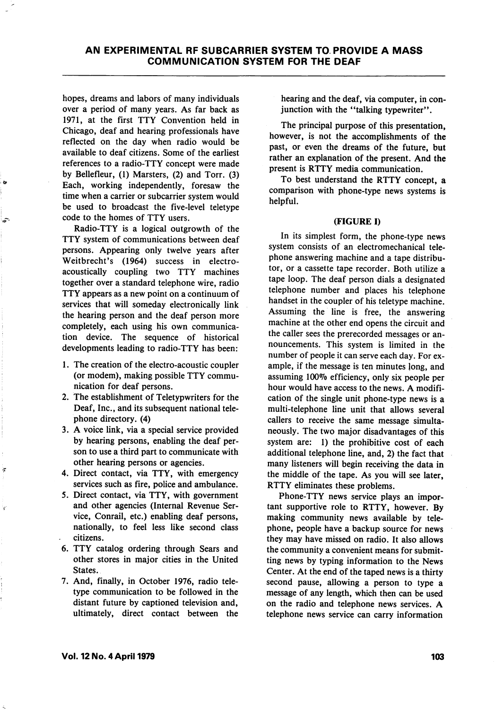hopes, dreams and labors of many individuals over a period of many years. As far back as 1971, at the first TTY Convention held in Chicago, deaf and hearing professionals have reflected on the day when radio would be available to deaf citizens. Some of the earliest references to a radio-TTY concept were made by Bellefleur, (1) Marsters, (2) and Torr. (3) Each, working independently, foresaw the time when a carrier or subcarrier system would be used to broadcast the five-level teletype code to the homes of TTY users.

Radio-TTY is a logical outgrowth of the TTY system of communications between deaf persons. Appearing only twelve years after Weitbrecht's (1964) success in electroacoustically coupling two TTY machines together over a standard telephone wire, radio TTY appears as a new point on a continuum of services that will someday electronically link the hearing person and the deaf person more completely, each using his own communica tion device. The sequence of historical developments leading to radio-TTY has been:

- 1. The creation of the electro-acoustic coupler (or modem), making possible TTY commu nication for deaf persons.
- 2. The establishment of Teletypwriters for the Deaf, Inc., and its subsequent national tele phone directory. (4)
- 3. A voice link, via a special service provided by hearing persons, enabling the deaf per son to use a third part to communicate with other hearing persons or agencies.
- 4. Direct contact, via TTY, with emergency services such as fire, police and ambulance.
- 5. Direct contact, via TTY, with government and other agencies (Internal Revenue Ser vice, Conrail, etc.) enabling deaf persons, nationally, to feel less like second class citizens.
- 6. TTY catalog ordering through Sears and other stores in major cities in the United States.
- 7. And, finally, in October 1976, radio tele type communication to be followed in the distant future by captioned television and, ultimately, direct contact between the

hearing and the deaf, via computer, in con junction with the "talking typewriter".

The principal purpose of this presentation, however, is not the accomplishments of the past, or even the dreams of the future, but rather an explanation of the present. And the present is RTTY media communication.

To best understand the RTTY concept, a comparison with phone-type news systems is helpful.

#### (FIGURE I)

In its simplest form, the phone-type news system consists of an electromechanical tele phone answering machine and a tape distribu tor, or a cassette tape recorder. Both utilize a tape loop. The deaf person dials a designated telephone number and places his telephone handset in the coupler of his teletype machine. Assuming the line is free, the answering machine at the other end opens the circuit and the caller sees the prerecorded messages or an nouncements. This system is limited in the number of people it can serve each day. For ex ample, if the message is ten minutes long, and assuming 100% efficiency, only six people per hour would have access to the news. A modifi cation of the single unit phone-type news is a multi-telephone line unit that allows several callers to receive the same message simulta neously. The two major disadvantages of this system are: 1) the prohibitive cost of each additional telephone line, and, 2) the fact that many listeners will begin receiving the data in the middle of the tape. As you will see later, RTTY eliminates these problems.

Phone-TTY news service plays an impor tant supportive role to RTTY, however. By making community news available by tele phone, people have a backup source for news they may have missed on radio. It also allows the community a convenient means for submit ting news by typing information to the News Center. At the end of the taped news is a thirty second pause, allowing a person to type a message of any length, which then can be used on the radio and telephone news services. A telephone news service can carry information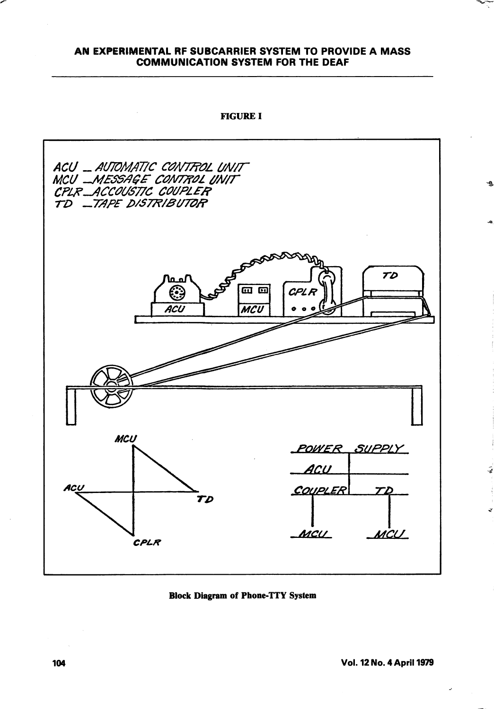### AN EXPERIMENTAL RF SUBCARRIER SYSTEM TO PROVIDE A MASS COMMUNICATION SYSTEM FOR THE DEAF



Block Diagram of Phone-TTY System

 $\tilde{\bullet}$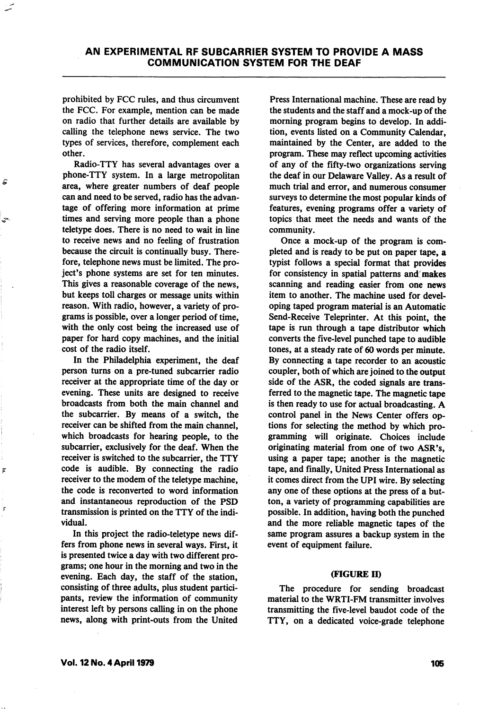prohibited by FCC rules, and thus circumvent the FCC. For example, mention can be made on radio that further details are available by calling the telephone news service. The two types of services, therefore, complement each other.

Radio-TTY has several advantages over a phone-TTY system. In a large metropolitan area, where greater numbers of deaf people can and need to be served, radio has the advan tage of offering more information at prime times and serving more people than a phone teletype does. There is no need to wait in line to receive news and no feeling of frustration because the circuit is continually busy. There fore, telephone news must be limited. The pro ject's phone systems are set for ten minutes. This gives a reasonable coverage of the news, but keeps toll charges or message units within reason. With radio, however, a variety of pro grams is possible, over a longer period of time, with the only cost being the increased use of paper for hard copy machines, and the initial cost of the radio itself.

In the Philadelphia experiment, the deaf person turns on a pre-tuned subcarrier radio receiver at the appropriate time of the day or evening. These units are designed to receive broadcasts from both the main channel and the subcarrier. By means of a switch, the receiver can be shifted from the main channel, which broadcasts for hearing people, to the subcarrier, exclusively for the deaf. When the receiver is switched to the subcarrier, the TTY code is audible. By connecting the radio receiver to the modem of the teletype machine, the code is reconverted to word information and instantaneous reproduction of the PSD transmission is printed on the TTY of the indi vidual.

In this project the radio-teletype news dif fers from phone news in several ways. First, it is presented twice a day with two different pro grams; one hour in the morning and two in the evening. Each day, the staff of the station, consisting of three adults, plus student partici pants, review the information of community interest left by persons calling in on the phone news, along with print-outs from the United

Press International machine. These are read by the students and the staff and a mock-up of the morning program begins to develop. In addi tion, events listed on a Community Calendar, maintained by the Center, are added to the program. These may reflect upcoming activities of any of the fifty-two organizations serving the deaf in our Delaware Valley. As a result of much trial and error, and numerous consumer surveys to determine the most popular kinds of features, evening programs offer a variety of topics that meet the needs and wants of the community.

Once a mock-up of the program is com pleted and is ready to be put on paper tape, a typist follows a special format that provides for consistency in spatial patterns and makes scanning and reading easier from one news item to another. The machine used for devel oping taped program material is an Automatic Send-Receive Teleprinter. At this point, the tape is run through a tape distributor which converts the five-level punched tape to audible tones, at a steady rate of 60 words per minute. By connecting a tape recorder to an acoustic coupler, both of which are joined to the output side of the ASR, the coded signals are trans ferred to the magnetic tape. The magnetic tape is then ready to use for actual broadcasting. A control panel in the News Center offers op tions for selecting the method by which pro gramming will originate. Choices include originating material from one of two ASR's, using a paper tape; another is the magnetic tape, and finally. United Press International as it comes direct from the UPI wire. By selecting any one of these options at the press of a but ton, a variety of programming capabilities are possible. In addition, having both the punched and the more reliable magnetic tapes of the same program assures a backup system in the event of equipment failure.

#### (FIGURE II)

The procedure for sending broadcast material to the WRTI-FM transmitter involves transmitting the five-level baudot code of the TTY, on a dedicated voice-grade telephone

 $\overline{p}$ 

¥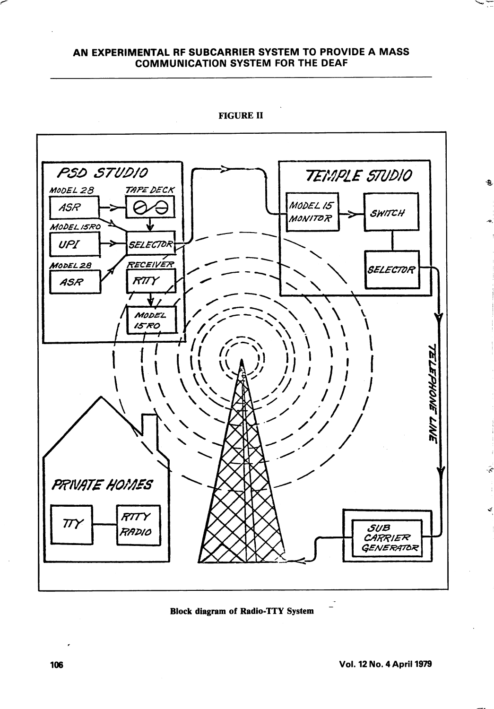## AN EXPERIMENTAL RF SUBCARRIER SYSTEM TO PROVIDE A MASS COMMUNICATION SYSTEM FOR THE DEAF



FIGURE II

Block diagram of Radio-TTY System

Đ,

 $\tilde{\mathcal{E}}$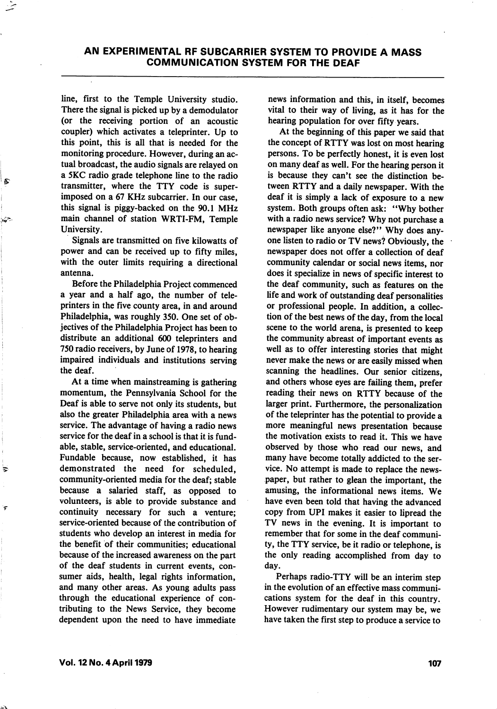line, first to the Temple University studio. There the signal is picked up by a demodulator (or the receiving portion of an acoustic coupler) which activates a teleprinter. Up to this point, this is all that is needed for the monitoring procedure. However, during an ac tual broadcast, the audio signals are relayed on a 5KC radio grade telephone line to the radio transmitter, where the TTY code is super imposed on a 67 KHz subcarrier. In our case, this signal is piggy-backed on the 90.1 MHz main channel of station WRTI-FM, Temple University.

Signals are transmitted on five kilowatts of power and can be received up to fifty miles, with the outer limits requiring a directional antenna.

Before the Philadelphia Project commenced a year and a half ago, the number of tele printers in the five county area, in and around Philadelphia, was roughly 350. One set of ob jectives of the Philadelphia Project has been to distribute an additional 600 teleprinters and 750 radio receivers, by June of 1978, to hearing impaired individuals and institutions serving the deaf.

At a time when mainstreaming is gathering momentum, the Pennsylvania School for the Deaf is able to serve not only its students, but also the greater Philadelphia area with a news service. The advantage of having a radio news service for the deaf in a school is that it is fundable, stable, service-oriented, and educational. Fundable because, now established, it has demonstrated the need for scheduled, community-oriented media for the deaf; stable because a salaried staff, as opposed to volunteers, is able to provide substance and continuity necessary for such a venture; service-oriented because of the contribution of students who develop an interest in media for the benefit of their communities; educational because of the increased awareness on the part of the deaf students in current events, con sumer aids, health, legal rights information, and many other areas. As young adults pass through the educational experience of con tributing to the News Service, they become dependent upon the need to have immediate news information and this, in itself, becomes vital to their way of living, as it has for the hearing population for over fifty years.

At the beginning of this paper we said that the concept of RTTY was lost on most hearing persons. To be perfectly honest, it is even lost on many deaf as well. For the hearing person it is because they can't see the distinction be tween RTTY and a daily newspaper. With the deaf it is simply a lack of exposure to a new system. Both groups often ask: "Why bother with a radio news service? Why not purchase a newspaper like anyone else?" Why does any one listen to radio or TV news? Obviously, the newspaper does not offer a collection of deaf community calendar or social news items, nor does it specialize in news of specific interest to the deaf community, such as features on the life and work of outstanding deaf personalities or professional people. In addition, a collec tion of the best news of the day, from the local scene to the world arena, is presented to keep the community abreast of important events as well as to offer interesting stories that might never make the news or are easily missed when scanning the headlines. Our senior citizens, and others whose eyes are failing them, prefer reading their news on RTTY because of the larger print. Furthermore, the personalization of the teleprinter has the potential to provide a more meaningful news presentation because the motivation exists to read it. This we have observed by those who read our news, and many have become totally addicted to the ser vice. No attempt is made to replace the news paper, but rather to glean the important, the amusing, the informational news items. We have even been told that having the advanced copy from UPI makes it easier to lipread the TV news in the evening. It is important to remember that for some in the deaf communi ty, the TTY service, be it radio or telephone, is the only reading accomplished from day to day.

Perhaps radio-TTY will be an interim step in the evolution of an effective mass communi cations system for the deaf in this country. However rudimentary our system may be, we have taken the first step to produce a service to

₹

.<br>T